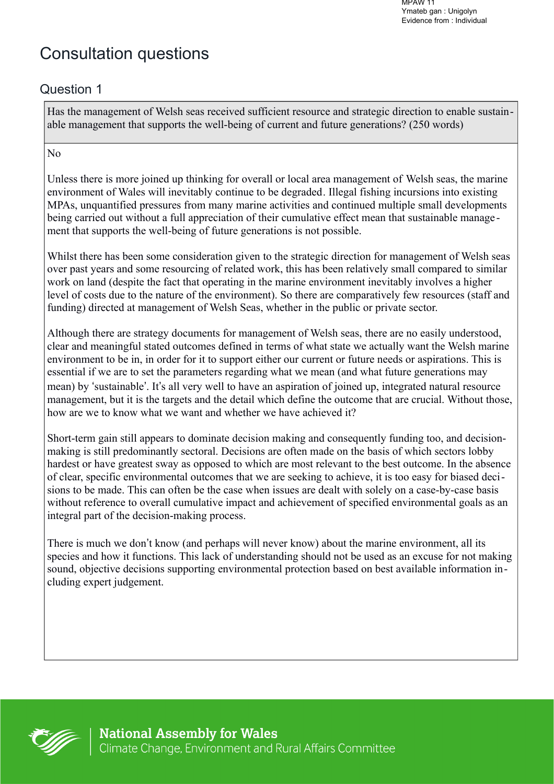MPAW 11 Ymateb gan : Unigolyn Evidence from : Individual

# Consultation questions

# Question 1

Has the management of Welsh seas received sufficient resource and strategic direction to enable sustainable management that supports the well-being of current and future generations? (250 words)

#### No

Unless there is more joined up thinking for overall or local area management of Welsh seas, the marine environment of Wales will inevitably continue to be degraded. Illegal fishing incursions into existing MPAs, unquantified pressures from many marine activities and continued multiple small developments being carried out without a full appreciation of their cumulative effect mean that sustainable manage ment that supports the well-being of future generations is not possible.

Whilst there has been some consideration given to the strategic direction for management of Welsh seas over past years and some resourcing of related work, this has been relatively small compared to similar work on land (despite the fact that operating in the marine environment inevitably involves a higher level of costs due to the nature of the environment). So there are comparatively few resources (staff and funding) directed at management of Welsh Seas, whether in the public or private sector.

Although there are strategy documents for management of Welsh seas, there are no easily understood, clear and meaningful stated outcomes defined in terms of what state we actually want the Welsh marine environment to be in, in order for it to support either our current or future needs or aspirations. This is essential if we are to set the parameters regarding what we mean (and what future generations may mean) by 'sustainable'. It's all very well to have an aspiration of joined up, integrated natural resource management, but it is the targets and the detail which define the outcome that are crucial. Without those, how are we to know what we want and whether we have achieved it?

Short-term gain still appears to dominate decision making and consequently funding too, and decisionmaking is still predominantly sectoral. Decisions are often made on the basis of which sectors lobby hardest or have greatest sway as opposed to which are most relevant to the best outcome. In the absence of clear, specific environmental outcomes that we are seeking to achieve, it is too easy for biased decisions to be made. This can often be the case when issues are dealt with solely on a case-by-case basis without reference to overall cumulative impact and achievement of specified environmental goals as an integral part of the decision-making process.

There is much we don't know (and perhaps will never know) about the marine environment, all its species and how it functions. This lack of understanding should not be used as an excuse for not making sound, objective decisions supporting environmental protection based on best available information including expert judgement.

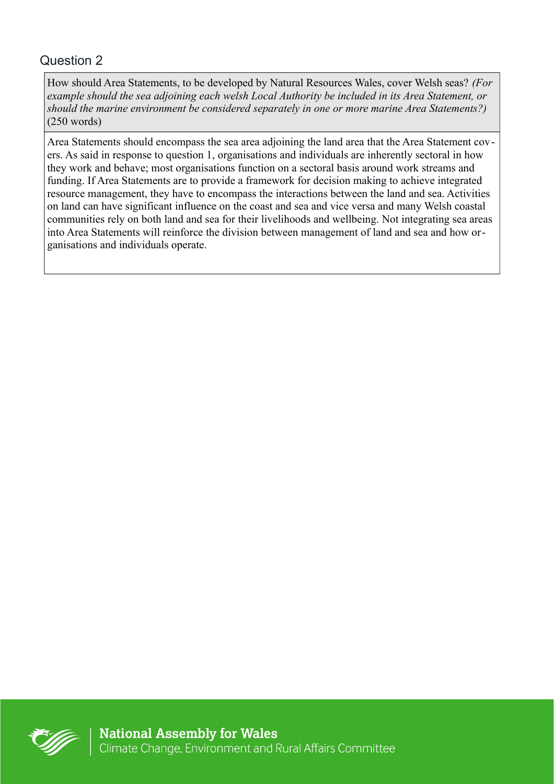How should Area Statements, to be developed by Natural Resources Wales, cover Welsh seas? *(For example should the sea adjoining each welsh Local Authority be included in its Area Statement, or should the marine environment be considered separately in one or more marine Area Statements?)*  (250 words)

Area Statements should encompass the sea area adjoining the land area that the Area Statement covers. As said in response to question 1, organisations and individuals are inherently sectoral in how they work and behave; most organisations function on a sectoral basis around work streams and funding. If Area Statements are to provide a framework for decision making to achieve integrated resource management, they have to encompass the interactions between the land and sea. Activities on land can have significant influence on the coast and sea and vice versa and many Welsh coastal communities rely on both land and sea for their livelihoods and wellbeing. Not integrating sea areas into Area Statements will reinforce the division between management of land and sea and how organisations and individuals operate.

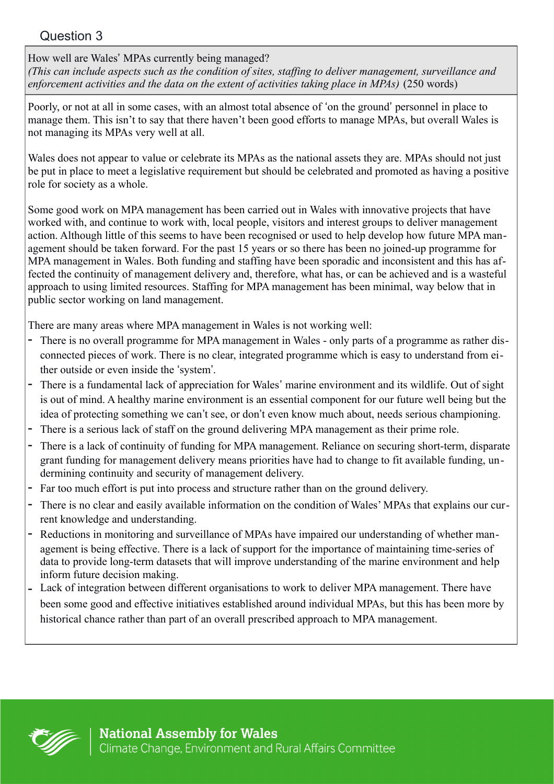How well are Wales' MPAs currently being managed?

*(This can include aspects such as the condition of sites, staffing to deliver management, surveillance and*  enforcement activities and the data on the extent of activities taking place in MPAs) (250 words)

Poorly, or not at all in some cases, with an almost total absence of 'on the ground' personnel in place to manage them. This isn't to say that there haven't been good efforts to manage MPAs, but overall Wales is not managing its MPAs very well at all.

Wales does not appear to value or celebrate its MPAs as the national assets they are. MPAs should not just be put in place to meet a legislative requirement but should be celebrated and promoted as having a positive role for society as a whole.

Some good work on MPA management has been carried out in Wales with innovative projects that have worked with, and continue to work with, local people, visitors and interest groups to deliver management action. Although little of this seems to have been recognised or used to help develop how future MPA management should be taken forward. For the past 15 years or so there has been no joined-up programme for MPA management in Wales. Both funding and staffing have been sporadic and inconsistent and this has affected the continuity of management delivery and, therefore, what has, or can be achieved and is a wasteful approach to using limited resources. Staffing for MPA management has been minimal, way below that in public sector working on land management.

There are many areas where MPA management in Wales is not working well:

- There is no overall programme for MPA management in Wales only parts of a programme as rather disconnected pieces of work. There is no clear, integrated programme which is easy to understand from either outside or even inside the 'system'.
- There is a fundamental lack of appreciation for Wales' marine environment and its wildlife. Out of sight is out of mind. A healthy marine environment is an essential component for our future well being but the idea of protecting something we can't see, or don't even know much about, needs serious championing.
- There is a serious lack of staff on the ground delivering MPA management as their prime role.
- There is a lack of continuity of funding for MPA management. Reliance on securing short-term, disparate grant funding for management delivery means priorities have had to change to fit available funding, undermining continuity and security of management delivery.
- Far too much effort is put into process and structure rather than on the ground delivery.
- There is no clear and easily available information on the condition of Wales' MPAs that explains our current knowledge and understanding.
- Reductions in monitoring and surveillance of MPAs have impaired our understanding of whether management is being effective. There is a lack of support for the importance of maintaining time-series of data to provide long-term datasets that will improve understanding of the marine environment and help inform future decision making.
- Lack of integration between different organisations to work to deliver MPA management. There have been some good and effective initiatives established around individual MPAs, but this has been more by historical chance rather than part of an overall prescribed approach to MPA management.

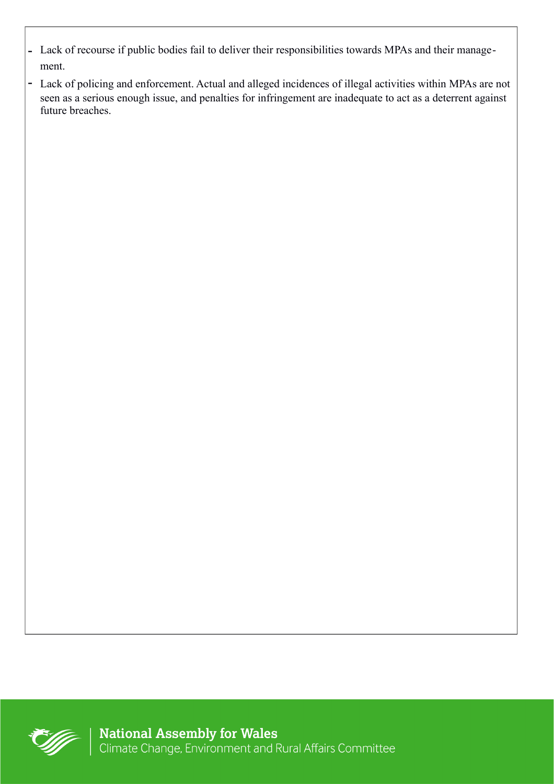- Lack of recourse if public bodies fail to deliver their responsibilities towards MPAs and their management.
- Lack of policing and enforcement. Actual and alleged incidences of illegal activities within MPAs are not seen as a serious enough issue, and penalties for infringement are inadequate to act as a deterrent against future breaches.

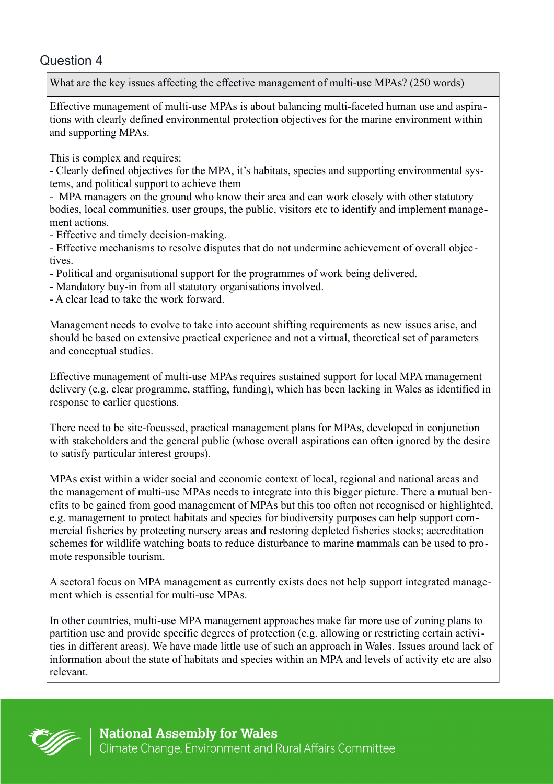What are the key issues affecting the effective management of multi-use MPAs? (250 words)

Effective management of multi-use MPAs is about balancing multi-faceted human use and aspirations with clearly defined environmental protection objectives for the marine environment within and supporting MPAs.

This is complex and requires:

- Clearly defined objectives for the MPA, it's habitats, species and supporting environmental systems, and political support to achieve them

- MPA managers on the ground who know their area and can work closely with other statutory bodies, local communities, user groups, the public, visitors etc to identify and implement management actions.

- Effective and timely decision-making.

- Effective mechanisms to resolve disputes that do not undermine achievement of overall objectives.

- Political and organisational support for the programmes of work being delivered.

- Mandatory buy-in from all statutory organisations involved.

- A clear lead to take the work forward.

Management needs to evolve to take into account shifting requirements as new issues arise, and should be based on extensive practical experience and not a virtual, theoretical set of parameters and conceptual studies.

Effective management of multi-use MPAs requires sustained support for local MPA management delivery (e.g. clear programme, staffing, funding), which has been lacking in Wales as identified in response to earlier questions.

There need to be site-focussed, practical management plans for MPAs, developed in conjunction with stakeholders and the general public (whose overall aspirations can often ignored by the desire to satisfy particular interest groups).

MPAs exist within a wider social and economic context of local, regional and national areas and the management of multi-use MPAs needs to integrate into this bigger picture. There a mutual benefits to be gained from good management of MPAs but this too often not recognised or highlighted, e.g. management to protect habitats and species for biodiversity purposes can help support commercial fisheries by protecting nursery areas and restoring depleted fisheries stocks; accreditation schemes for wildlife watching boats to reduce disturbance to marine mammals can be used to promote responsible tourism.

A sectoral focus on MPA management as currently exists does not help support integrated management which is essential for multi-use MPAs.

In other countries, multi-use MPA management approaches make far more use of zoning plans to partition use and provide specific degrees of protection (e.g. allowing or restricting certain activities in different areas). We have made little use of such an approach in Wales. Issues around lack of information about the state of habitats and species within an MPA and levels of activity etc are also relevant.

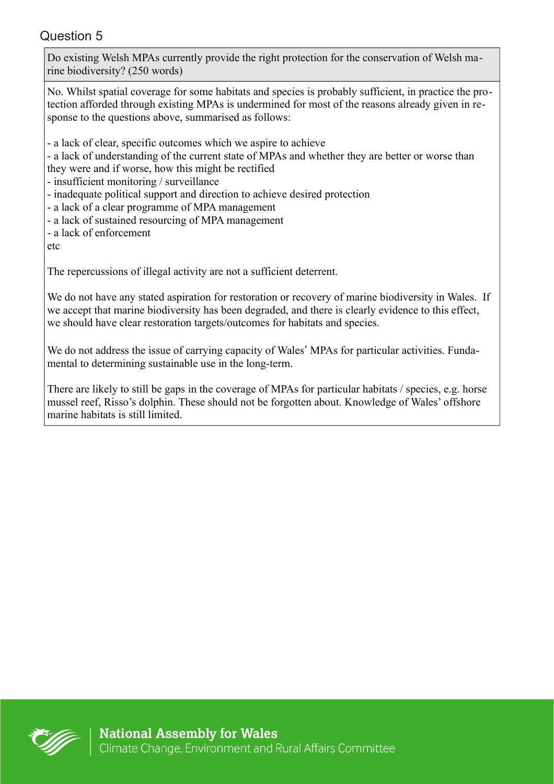Do existing Welsh MPAs currently provide the right protection for the conservation of Welsh marine biodiversity? (250 words)

No. Whilst spatial coverage for some habitats and species is probably sufficient, in practice the protection afforded through existing MPAs is undermined for most of the reasons already given in response to the questions above, summarised as follows:

- a lack of clear, specific outcomes which we aspire to achieve

- a lack of understanding of the current state of MPAs and whether they are better or worse than they were and if worse, how this might be rectified

- insufficient monitoring / surveillance

- inadequate political support and direction to achieve desired protection

- a lack of a clear programme of MPA management

- a lack of sustained resourcing of MPA management

- a lack of enforcement

etc

The repercussions of illegal activity are not a sufficient deterrent.

We do not have any stated aspiration for restoration or recovery of marine biodiversity in Wales. If we accept that marine biodiversity has been degraded, and there is clearly evidence to this effect, we should have clear restoration targets/outcomes for habitats and species.

We do not address the issue of carrying capacity of Wales' MPAs for particular activities. Fundamental to determining sustainable use in the long-term.

There are likely to still be gaps in the coverage of MPAs for particular habitats / species, e.g. horse mussel reef, Risso's dolphin. These should not be forgotten about. Knowledge of Wales' offshore marine habitats is still limited.

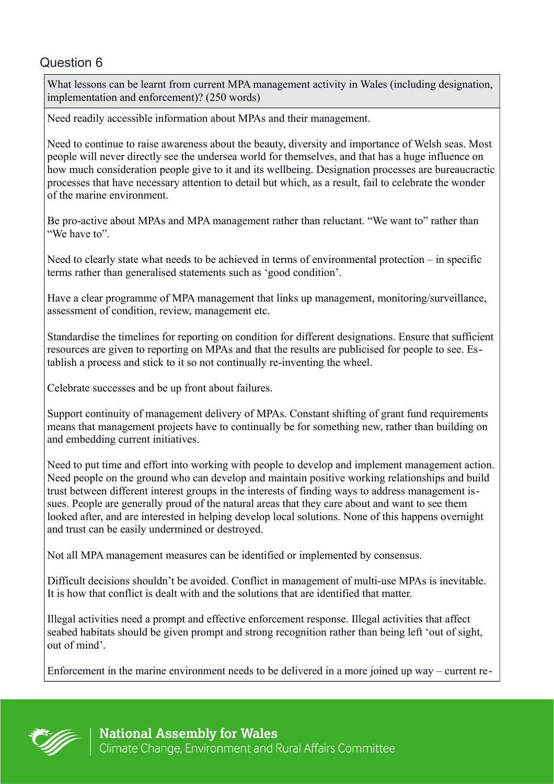What lessons can be learnt from current MPA management activity in Wales (including designation, implementation and enforcement)? (250 words)

Need readily accessible information about MPAs and their management.

Need to continue to raise awareness about the beauty, diversity and importance of Welsh seas. Most people will never directly see the undersea world for themselves, and that has a huge influence on how much consideration people give to it and its wellbeing. Designation processes are bureaucractic processes that have necessary attention to detail but which, as a result, fail to celebrate the wonder of the marine environment.

Be pro-active about MPAs and MPA management rather than reluctant. "We want to" rather than "We have to".

Need to clearly state what needs to be achieved in terms of environmental protection – in specific terms rather than generalised statements such as 'good condition'.

Have a clear programme of MPA management that links up management, monitoring/surveillance, assessment of condition, review, management etc.

Standardise the timelines for reporting on condition for different designations. Ensure that sufficient resources are given to reporting on MPAs and that the results are publicised for people to see. Establish a process and stick to it so not continually re-inventing the wheel.

Celebrate successes and be up front about failures.

Support continuity of management delivery of MPAs. Constant shifting of grant fund requirements means that management projects have to continually be for something new, rather than building on and embedding current initiatives.

Need to put time and effort into working with people to develop and implement management action. Need people on the ground who can develop and maintain positive working relationships and build trust between different interest groups in the interests of finding ways to address management issues. People are generally proud of the natural areas that they care about and want to see them looked after, and are interested in helping develop local solutions. None of this happens overnight and trust can be easily undermined or destroyed.

Not all MPA management measures can be identified or implemented by consensus.

Difficult decisions shouldn't be avoided. Conflict in management of multi-use MPAs is inevitable. It is how that conflict is dealt with and the solutions that are identified that matter.

Illegal activities need a prompt and effective enforcement response. Illegal activities that affect seabed habitats should be given prompt and strong recognition rather than being left 'out of sight, out of mind'.

Enforcement in the marine environment needs to be delivered in a more joined up way – current re-

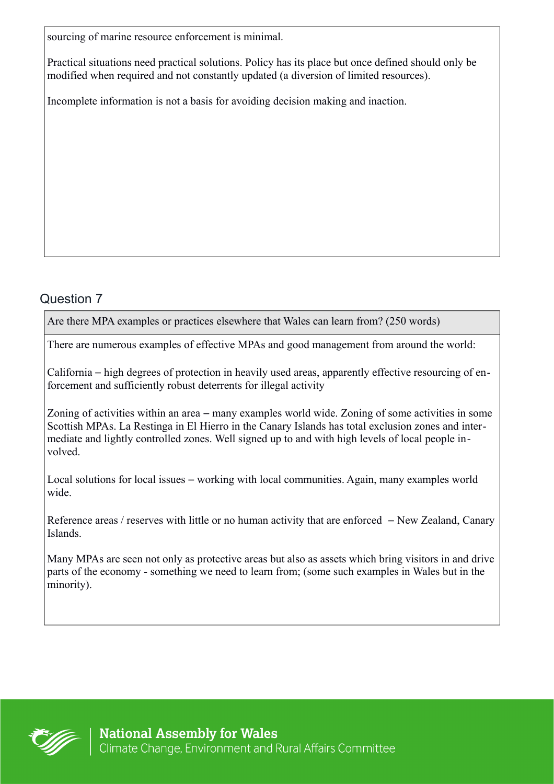sourcing of marine resource enforcement is minimal.

Practical situations need practical solutions. Policy has its place but once defined should only be modified when required and not constantly updated (a diversion of limited resources).

Incomplete information is not a basis for avoiding decision making and inaction.

# Question 7

Are there MPA examples or practices elsewhere that Wales can learn from? (250 words)

There are numerous examples of effective MPAs and good management from around the world:

California – high degrees of protection in heavily used areas, apparently effective resourcing of enforcement and sufficiently robust deterrents for illegal activity

Zoning of activities within an area – many examples world wide. Zoning of some activities in some Scottish MPAs. La Restinga in El Hierro in the Canary Islands has total exclusion zones and intermediate and lightly controlled zones. Well signed up to and with high levels of local people involved.

Local solutions for local issues – working with local communities. Again, many examples world wide.

Reference areas / reserves with little or no human activity that are enforced – New Zealand, Canary Islands.

Many MPAs are seen not only as protective areas but also as assets which bring visitors in and drive parts of the economy - something we need to learn from; (some such examples in Wales but in the minority).

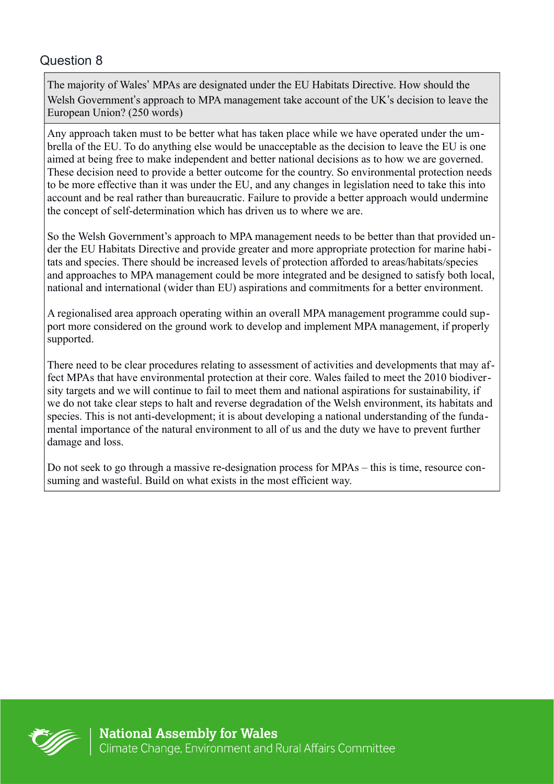The majority of Wales' MPAs are designated under the EU Habitats Directive. How should the Welsh Government's approach to MPA management take account of the UK's decision to leave the European Union? (250 words)

Any approach taken must to be better what has taken place while we have operated under the umbrella of the EU. To do anything else would be unacceptable as the decision to leave the EU is one aimed at being free to make independent and better national decisions as to how we are governed. These decision need to provide a better outcome for the country. So environmental protection needs to be more effective than it was under the EU, and any changes in legislation need to take this into account and be real rather than bureaucratic. Failure to provide a better approach would undermine the concept of self-determination which has driven us to where we are.

So the Welsh Government's approach to MPA management needs to be better than that provided under the EU Habitats Directive and provide greater and more appropriate protection for marine habitats and species. There should be increased levels of protection afforded to areas/habitats/species and approaches to MPA management could be more integrated and be designed to satisfy both local, national and international (wider than EU) aspirations and commitments for a better environment.

A regionalised area approach operating within an overall MPA management programme could support more considered on the ground work to develop and implement MPA management, if properly supported.

There need to be clear procedures relating to assessment of activities and developments that may affect MPAs that have environmental protection at their core. Wales failed to meet the 2010 biodiversity targets and we will continue to fail to meet them and national aspirations for sustainability, if we do not take clear steps to halt and reverse degradation of the Welsh environment, its habitats and species. This is not anti-development; it is about developing a national understanding of the fundamental importance of the natural environment to all of us and the duty we have to prevent further damage and loss.

Do not seek to go through a massive re-designation process for MPAs – this is time, resource consuming and wasteful. Build on what exists in the most efficient way.